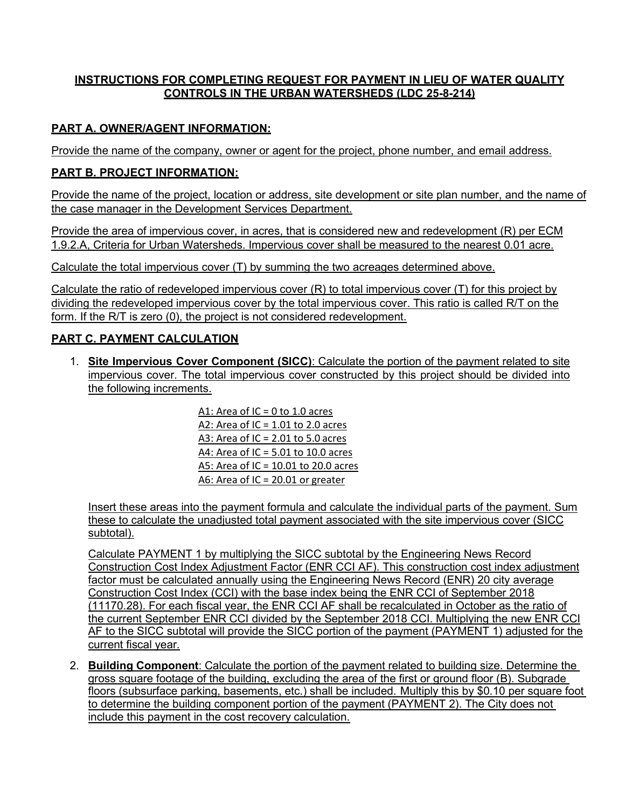### **INSTRUCTIONS FOR COMPLETING REQUEST FOR PAYMENT IN LIEU OF WATER QUALITY CONTROLS IN THE URBAN WATERSHEDS (LDC 25-8-214)**

### **PART A. OWNER/AGENT INFORMATION:**

Provide the name of the company, owner or agent for the project, phone number, and email address.

#### **PART B. PROJECT INFORMATION:**

Provide the name of the project, location or address, site development or site plan number, and the name of the case manager in the Development Services Department.

Provide the area of impervious cover, in acres, that is considered new and redevelopment (R) per ECM 1.9.2.A, Criteria for Urban Watersheds. Impervious cover shall be measured to the nearest 0.01 acre.

Calculate the total impervious cover (T) by summing the two acreages determined above.

Calculate the ratio of redeveloped impervious cover (R) to total impervious cover (T) for this project by dividing the redeveloped impervious cover by the total impervious cover. This ratio is called R/T on the form. If the R/T is zero (0), the project is not considered redevelopment.

#### **PART C. PAYMENT CALCULATION**

1. **Site Impervious Cover Component (SICC)**: Calculate the portion of the payment related to site impervious cover. The total impervious cover constructed by this project should be divided into the following increments.

> A1: Area of IC = 0 to 1.0 acres A2: Area of IC = 1.01 to 2.0 acres A3: Area of IC =  $2.01$  to 5.0 acres A4: Area of IC = 5.01 to 10.0 acres A5: Area of IC = 10.01 to 20.0 acres A6: Area of IC = 20.01 or greater

Insert these areas into the payment formula and calculate the individual parts of the payment. Sum these to calculate the unadjusted total payment associated with the site impervious cover (SICC subtotal).

Calculate PAYMENT 1 by multiplying the SICC subtotal by the Engineering News Record Construction Cost Index Adjustment Factor (ENR CCI AF). This construction cost index adjustment factor must be calculated annually using the Engineering News Record (ENR) 20 city average Construction Cost Index (CCI) with the base index being the ENR CCI of September 2018 (11170.28). For each fiscal year, the ENR CCI AF shall be recalculated in October as the ratio of the current September ENR CCI divided by the September 2018 CCI. Multiplying the new ENR CCI AF to the SICC subtotal will provide the SICC portion of the payment (PAYMENT 1) adjusted for the current fiscal year.

2. **Building Component**: Calculate the portion of the payment related to building size. Determine the gross square footage of the building, excluding the area of the first or ground floor (B). Subgrade floors (subsurface parking, basements, etc.) shall be included. Multiply this by \$0.10 per square foot to determine the building component portion of the payment (PAYMENT 2). The City does not include this payment in the cost recovery calculation.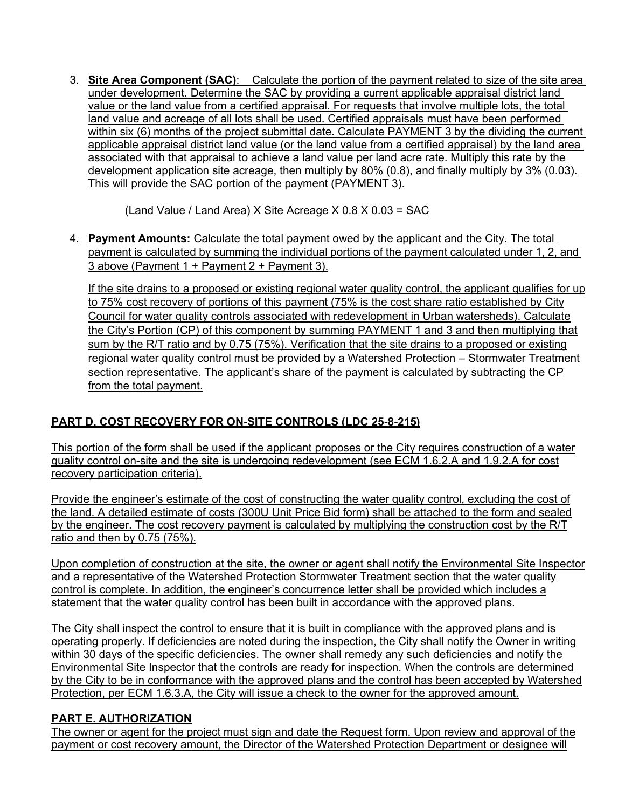3. **Site Area Component (SAC)**: Calculate the portion of the payment related to size of the site area under development. Determine the SAC by providing a current applicable appraisal district land value or the land value from a certified appraisal. For requests that involve multiple lots, the total land value and acreage of all lots shall be used. Certified appraisals must have been performed within six (6) months of the project submittal date. Calculate PAYMENT 3 by the dividing the current applicable appraisal district land value (or the land value from a certified appraisal) by the land area associated with that appraisal to achieve a land value per land acre rate. Multiply this rate by the development application site acreage, then multiply by 80% (0.8), and finally multiply by 3% (0.03). This will provide the SAC portion of the payment (PAYMENT 3).

(Land Value / Land Area) X Site Acreage X 0.8 X 0.03 = SAC

4. **Payment Amounts:** Calculate the total payment owed by the applicant and the City. The total payment is calculated by summing the individual portions of the payment calculated under 1, 2, and 3 above (Payment 1 + Payment 2 + Payment 3).

If the site drains to a proposed or existing regional water quality control, the applicant qualifies for up to 75% cost recovery of portions of this payment (75% is the cost share ratio established by City Council for water quality controls associated with redevelopment in Urban watersheds). Calculate the City's Portion (CP) of this component by summing PAYMENT 1 and 3 and then multiplying that sum by the R/T ratio and by 0.75 (75%). Verification that the site drains to a proposed or existing regional water quality control must be provided by a Watershed Protection – Stormwater Treatment section representative. The applicant's share of the payment is calculated by subtracting the CP from the total payment.

# **PART D. COST RECOVERY FOR ON-SITE CONTROLS (LDC 25-8-215)**

This portion of the form shall be used if the applicant proposes or the City requires construction of a water quality control on-site and the site is undergoing redevelopment (see ECM 1.6.2.A and 1.9.2.A for cost recovery participation criteria).

Provide the engineer's estimate of the cost of constructing the water quality control, excluding the cost of the land. A detailed estimate of costs (300U Unit Price Bid form) shall be attached to the form and sealed by the engineer. The cost recovery payment is calculated by multiplying the construction cost by the R/T ratio and then by 0.75 (75%).

Upon completion of construction at the site, the owner or agent shall notify the Environmental Site Inspector and a representative of the Watershed Protection Stormwater Treatment section that the water quality control is complete. In addition, the engineer's concurrence letter shall be provided which includes a statement that the water quality control has been built in accordance with the approved plans.

The City shall inspect the control to ensure that it is built in compliance with the approved plans and is operating properly. If deficiencies are noted during the inspection, the City shall notify the Owner in writing within 30 days of the specific deficiencies. The owner shall remedy any such deficiencies and notify the Environmental Site Inspector that the controls are ready for inspection. When the controls are determined by the City to be in conformance with the approved plans and the control has been accepted by Watershed Protection, per ECM 1.6.3.A, the City will issue a check to the owner for the approved amount.

# **PART E. AUTHORIZATION**

The owner or agent for the project must sign and date the Request form. Upon review and approval of the payment or cost recovery amount, the Director of the Watershed Protection Department or designee will